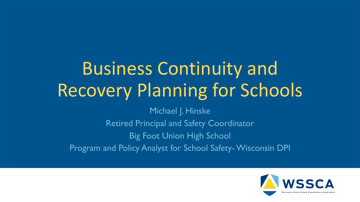# Business Continuity and Recovery Planning for Schools

Michael J. Hinske Retired Principal and Safety Coordinator Big Foot Union High School Program and Policy Analyst for School Safety-Wisconsin DPI

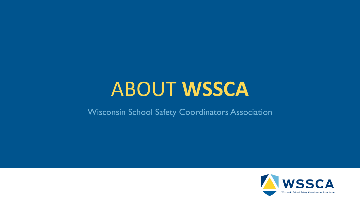## ABOUT **WSSCA**

#### Wisconsin School Safety Coordinators Association

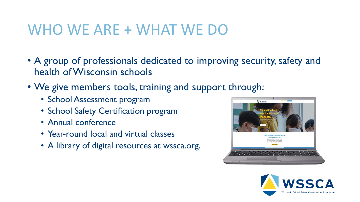#### WHO WE ARE + WHAT WE DO

- A group of professionals dedicated to improving security, safety and health of Wisconsin schools
- We give members tools, training and support through:
	- School Assessment program
	- School Safety Certification program
	- Annual conference
	- Year-round local and virtual classes
	- A library of digital resources at wssca.org.



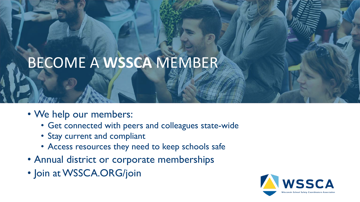## BECOME A **WSSCA** MEMBER

- We help our members:
	- Get connected with peers and colleagues state-wide
	- Stay current and compliant
	- Access resources they need to keep schools safe
- Annual district or corporate memberships
- Join at WSSCA.ORG/join

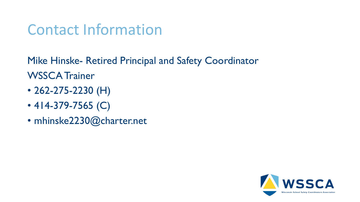#### Contact Information

Mike Hinske- Retired Principal and Safety Coordinator WSSCA Trainer

- 262-275-2230 (H)
- 414-379-7565 (C)
- mhinske2230@charter.net

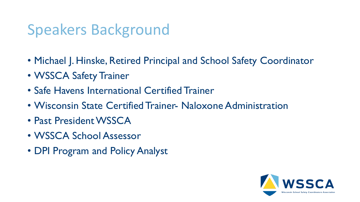#### Speakers Background

- Michael J. Hinske, Retired Principal and School Safety Coordinator
- WSSCA Safety Trainer
- Safe Havens International Certified Trainer
- Wisconsin State Certified Trainer- Naloxone Administration
- Past President WSSCA
- WSSCA School Assessor
- DPI Program and Policy Analyst

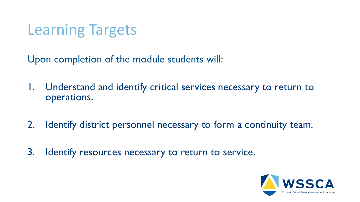#### Learning Targets

Upon completion of the module students will:

- 1. Understand and identify critical services necessary to return to operations.
- 2. Identify district personnel necessary to form a continuity team.
- 3. Identify resources necessary to return to service.

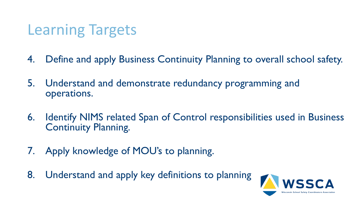#### Learning Targets

- 4. Define and apply Business Continuity Planning to overall school safety.
- 5. Understand and demonstrate redundancy programming and operations.
- 6. Identify NIMS related Span of Control responsibilities used in Business Continuity Planning.
- 7. Apply knowledge of MOU's to planning.
- 8. Understand and apply key definitions to planning

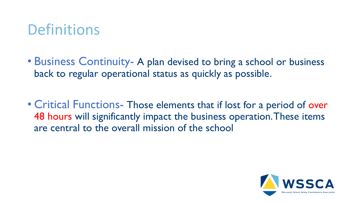#### **Definitions**

- Business Continuity- A plan devised to bring a school or business back to regular operational status as quickly as possible.
- Critical Functions- Those elements that if lost for a period of over 48 hours will significantly impact the business operation. These items are central to the overall mission of the school

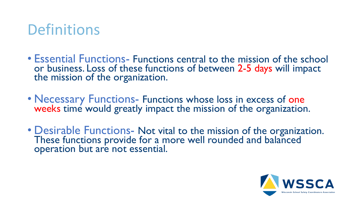#### **Definitions**

- Essential Functions- Functions central to the mission of the school or business. Loss of these functions of between 2-5 days will impact the mission of the organization.
- Necessary Functions- Functions whose loss in excess of one weeks time would greatly impact the mission of the organization.
- Desirable Functions- Not vital to the mission of the organization. These functions provide for a more well rounded and balanced operation but are not essential.

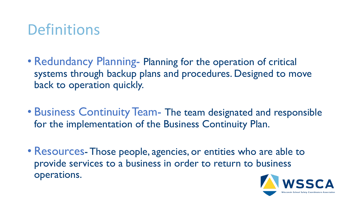#### **Definitions**

- Redundancy Planning- Planning for the operation of critical systems through backup plans and procedures. Designed to move back to operation quickly.
- Business Continuity Team- The team designated and responsible for the implementation of the Business Continuity Plan.
- Resources-Those people, agencies, or entities who are able to provide services to a business in order to return to business operations.

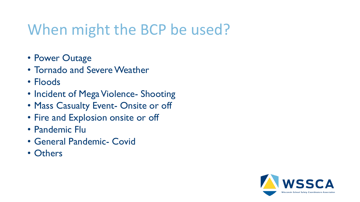#### When might the BCP be used?

- Power Outage
- Tornado and Severe Weather
- Floods
- Incident of Mega Violence- Shooting
- Mass Casualty Event- Onsite or off
- Fire and Explosion onsite or off
- Pandemic Flu
- General Pandemic- Covid
- Others

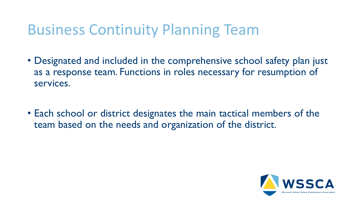#### Business Continuity Planning Team

- Designated and included in the comprehensive school safety plan just as a response team. Functions in roles necessary for resumption of services.
- Each school or district designates the main tactical members of the team based on the needs and organization of the district.

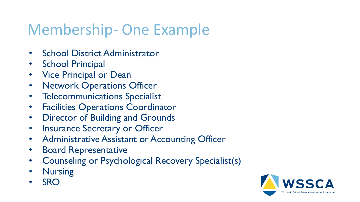#### Membership- One Example

- School District Administrator
- **School Principal**
- **Vice Principal or Dean**
- Network Operations Officer
- Telecommunications Specialist
- Facilities Operations Coordinator
- Director of Building and Grounds
- Insurance Secretary or Officer
- Administrative Assistant or Accounting Officer
- Board Representative
- Counseling or Psychological Recovery Specialist(s)
- **Nursing**
- SRO

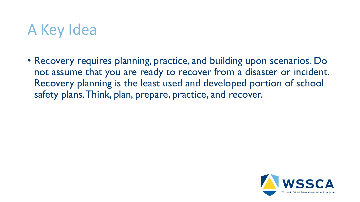#### A Key Idea

• Recovery requires planning, practice, and building upon scenarios. Do not assume that you are ready to recover from a disaster or incident. Recovery planning is the least used and developed portion of school safety plans. Think, plan, prepare, practice, and recover.

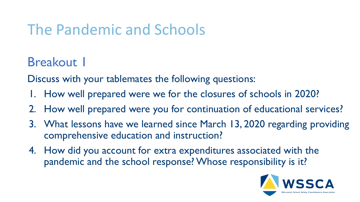#### The Pandemic and Schools

**Breakout 1** 

Discuss with your tablemates the following questions:

- 1. How well prepared were we for the closures of schools in 2020?
- 2. How well prepared were you for continuation of educational services?
- 3. What lessons have we learned since March 13, 2020 regarding providing comprehensive education and instruction?
- 4. How did you account for extra expenditures associated with the pandemic and the school response? Whose responsibility is it?

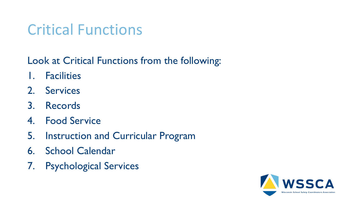#### Critical Functions

#### Look at Critical Functions from the following:

- 1. Facilities
- 2. Services
- 3. Records
- 4. Food Service
- 5. Instruction and Curricular Program
- 6. School Calendar
- 7. Psychological Services

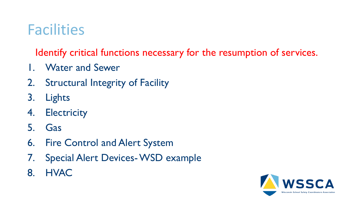#### **Facilities**

- 1. Water and Sewer
- 2. Structural Integrity of Facility
- 3. Lights
- 4. Electricity
- 5. Gas
- 6. Fire Control and Alert System
- 7. Special Alert Devices-WSD example
- 8. HVAC

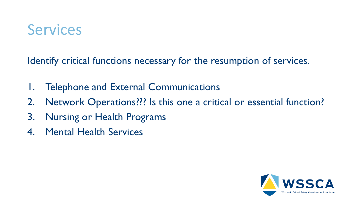#### **Services**

- 1. Telephone and External Communications
- 2. Network Operations??? Is this one a critical or essential function?
- 3. Nursing or Health Programs
- 4. Mental Health Services

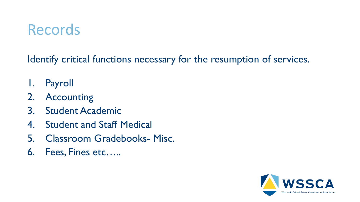#### **Records**

- 1. Payroll
- 2. Accounting
- 3. Student Academic
- 4. Student and Staff Medical
- 5. Classroom Gradebooks- Misc.
- 6. Fees, Fines etc…..

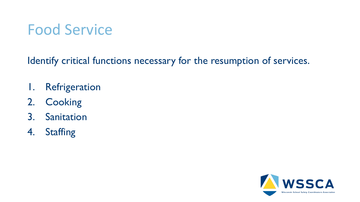#### Food Service

- 1. Refrigeration
- 2. Cooking
- 3. Sanitation
- 4. Staffing

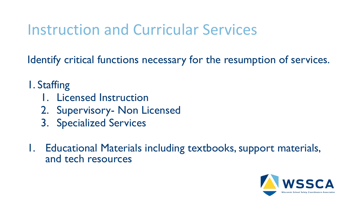#### Instruction and Curricular Services

Identify critical functions necessary for the resumption of services.

1. Staffing

- 1. Licensed Instruction
- 2. Supervisory- Non Licensed
- 3. Specialized Services
- 1. Educational Materials including textbooks, support materials, and tech resources

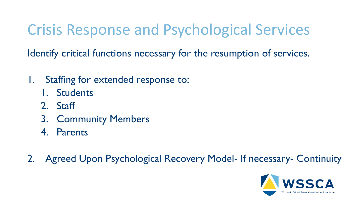#### Crisis Response and Psychological Services

- 1. Staffing for extended response to:
	- 1. Students
	- 2. Staff
	- 3. Community Members
	- 4. Parents
- 2. Agreed Upon Psychological Recovery Model- If necessary- Continuity

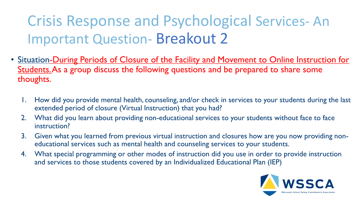Crisis Response and Psychological Services- An Important Question- Breakout 2

- Situation-During Periods of Closure of the Facility and Movement to Online Instruction for Students. As a group discuss the following questions and be prepared to share some thoughts.
	- How did you provide mental health, counseling, and/or check in services to your students during the last extended period of closure (Virtual Instruction) that you had?
	- 2. What did you learn about providing non-educational services to your students without face to face instruction?
	- 3. Given what you learned from previous virtual instruction and closures how are you now providing noneducational services such as mental health and counseling services to your students.
	- 4. What special programming or other modes of instruction did you use in order to provide instruction and services to those students covered by an Individualized Educational Plan (IEP)

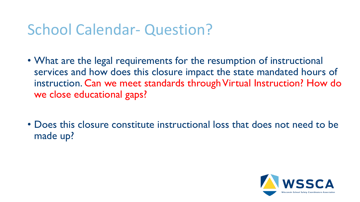#### School Calendar- Question?

- What are the legal requirements for the resumption of instructional services and how does this closure impact the state mandated hours of instruction. Can we meet standards through Virtual Instruction? How do we close educational gaps?
- Does this closure constitute instructional loss that does not need to be made up?

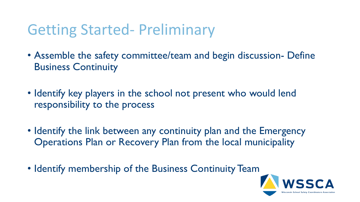#### Getting Started- Preliminary

- Assemble the safety committee/team and begin discussion- Define Business Continuity
- Identify key players in the school not present who would lend responsibility to the process
- Identify the link between any continuity plan and the Emergency Operations Plan or Recovery Plan from the local municipality
- Identify membership of the Business Continuity Team

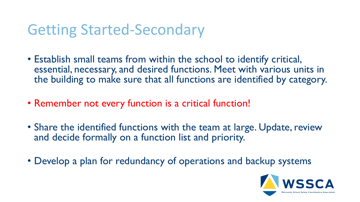- Establish small teams from within the school to identify critical, essential, necessary, and desired functions. Meet with various units in the building to make sure that all functions are identified by category.
- Remember not every function is a critical function!
- Share the identified functions with the team at large. Update, review and decide formally on a function list and priority.
- Develop a plan for redundancy of operations and backup systems

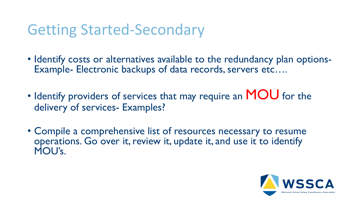- Identify costs or alternatives available to the redundancy plan options-Example- Electronic backups of data records, servers etc….
- Identify providers of services that may require an MOU for the delivery of services- Examples?
- Compile a comprehensive list of resources necessary to resume operations. Go over it, review it, update it, and use it to identify MOU's.

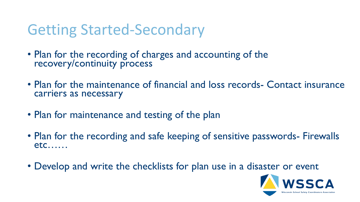- Plan for the recording of charges and accounting of the recovery/continuity process
- Plan for the maintenance of financial and loss records- Contact insurance carriers as necessary
- Plan for maintenance and testing of the plan
- Plan for the recording and safe keeping of sensitive passwords- Firewalls etc……
- Develop and write the checklists for plan use in a disaster or event

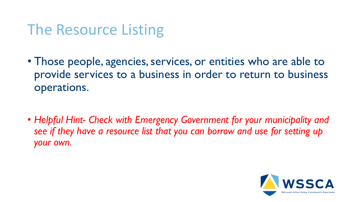#### The Resource Listing

• Those people, agencies, services, or entities who are able to provide services to a business in order to return to business operations.

• *Helpful Hint- Check with Emergency Government for your municipality and see if they have a resource list that you can borrow and use for setting up your own.*

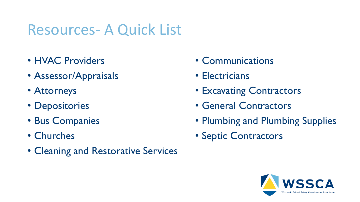#### Resources- A Quick List

- HVAC Providers
- Assessor/Appraisals
- Attorneys
- Depositories
- Bus Companies
- Churches
- Cleaning and Restorative Services
- Communications
- Electricians
- Excavating Contractors
- General Contractors
- Plumbing and Plumbing Supplies
- Septic Contractors

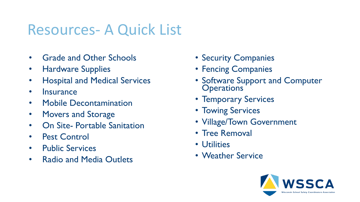#### Resources- A Quick List

- Grade and Other Schools
- Hardware Supplies
- Hospital and Medical Services
- Insurance
- Mobile Decontamination
- Movers and Storage
- On Site- Portable Sanitation
- Pest Control
- Public Services
- Radio and Media Outlets
- Security Companies
- Fencing Companies
- Software Support and Computer **Operations**
- Temporary Services
- Towing Services
- Village/Town Government
- Tree Removal
- Utilities
- Weather Service

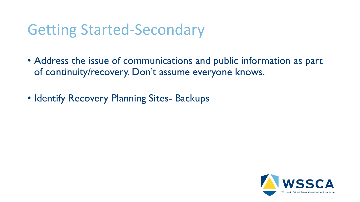- Address the issue of communications and public information as part of continuity/recovery. Don't assume everyone knows.
- Identify Recovery Planning Sites- Backups

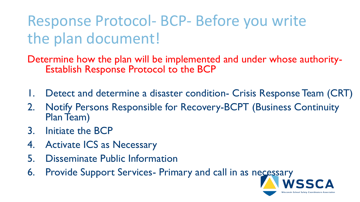Response Protocol- BCP- Before you write the plan document!

Determine how the plan will be implemented and under whose authority-Establish Response Protocol to the BCP

- Detect and determine a disaster condition- Crisis Response Team (CRT)
- 2. Notify Persons Responsible for Recovery-BCPT (Business Continuity Plan Team)
- 3. Initiate the BCP
- 4. Activate ICS as Necessary
- **Disseminate Public Information**
- 6. Provide Support Services- Primary and call in as necessary

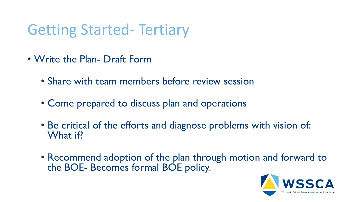#### Getting Started- Tertiary

- Write the Plan- Draft Form
	- Share with team members before review session
	- Come prepared to discuss plan and operations
	- Be critical of the efforts and diagnose problems with vision of: What if?
	- Recommend adoption of the plan through motion and forward to the BOE- Becomes formal BOE policy.

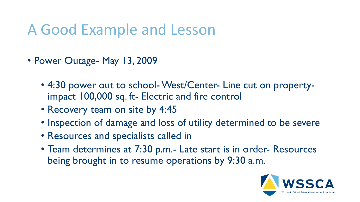#### A Good Example and Lesson

- Power Outage- May 13, 2009
	- 4:30 power out to school-West/Center- Line cut on propertyimpact 100,000 sq. ft- Electric and fire control
	- Recovery team on site by 4:45
	- Inspection of damage and loss of utility determined to be severe
	- Resources and specialists called in
	- Team determines at 7:30 p.m.- Late start is in order- Resources being brought in to resume operations by 9:30 a.m.

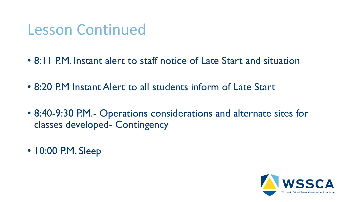#### Lesson Continued

- 8:11 P.M. Instant alert to staff notice of Late Start and situation
- 8:20 P.M Instant Alert to all students inform of Late Start
- 8:40-9:30 P.M.- Operations considerations and alternate sites for classes developed- Contingency
- 10:00 P.M. Sleep

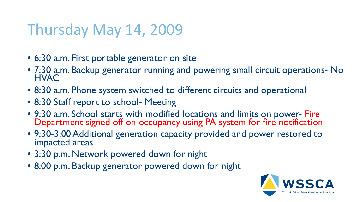#### Thursday May 14, 2009

- 6:30 a.m. First portable generator on site
- 7:30 a.m. Backup generator running and powering small circuit operations- No **HVAC**
- 8:30 a.m. Phone system switched to different circuits and operational
- 8:30 Staff report to school- Meeting
- 9:30 a.m. School starts with modified locations and limits on power- Fire Department signed off on occupancy using PA system for fire notification
- 9:30-3:00 Additional generation capacity provided and power restored to impacted areas
- 3:30 p.m. Network powered down for night
- 8:00 p.m. Backup generator powered down for night

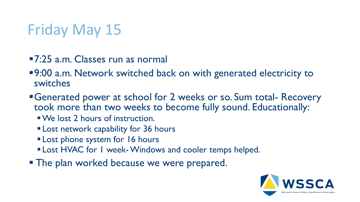## Friday May 15

- ▪7:25 a.m. Classes run as normal
- ■9:00 a.m. Network switched back on with generated electricity to switches
- **Example 2 Figure 10 Figure 10 Figure 10 Figure 10 Figure 10 Figure 10 Figure 10 Figure 10 Figure 10 Figure 10 Figure 10 Figure 10 Figure 10 Figure 10 Figure 10 Figure 10 Figure 10 Figure 10 Figure 10 Figure 10 Figure 10 F** took more than two weeks to become fully sound. Educationally:
	- ▪We lost 2 hours of instruction.
	- **Example 1 Lost network capability for 36 hours**
	- **ELost phone system for 16 hours**
	- **ELost HVAC for I week-Windows and cooler temps helped.**
- **The plan worked because we were prepared.**

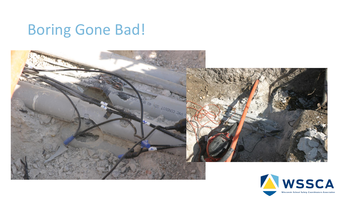#### Boring Gone Bad!



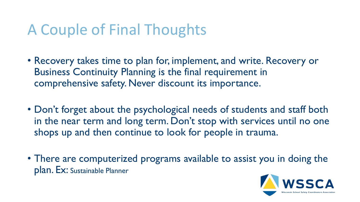#### A Couple of Final Thoughts

- Recovery takes time to plan for, implement, and write. Recovery or Business Continuity Planning is the final requirement in comprehensive safety. Never discount its importance.
- Don't forget about the psychological needs of students and staff both in the near term and long term. Don't stop with services until no one shops up and then continue to look for people in trauma.
- There are computerized programs available to assist you in doing the plan. Ex: Sustainable Planner